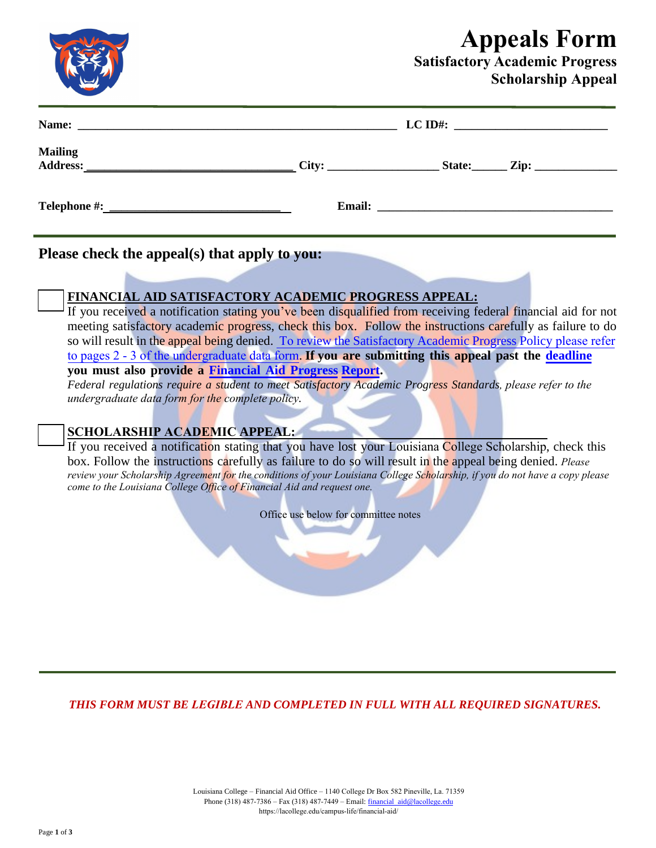# **Appeals Form**

### **Satisfactory Academic Progress Scholarship Appeal**

|                |  | $LC$ ID#: |  |  |
|----------------|--|-----------|--|--|
| <b>Mailing</b> |  |           |  |  |
|                |  |           |  |  |

**Please check the appeal(s) that apply to you:**

### **FINANCIAL AID SATISFACTORY ACADEMIC PROGRESS APPEAL:**

If you received a notification stating you've been disqualified from receiving federal financial aid for not meeting satisfactory academic progress, check this box. Follow the instructions carefully as failure to do so will result in the appeal being denied. To [review the Satisfactory Academic Progress Policy](https://www.frc.edu/financialaid/financial-aid-policies) please refer to pages 2 - 3 of the undergraduate data form. **If you are submitting this appe[al past the](https://www.frc.edu/financialaid/files/documents/FinancialAidProgressReport.pdf) [deadline](https://www.frc.edu/financialaid/important-financial-aid-dates) you must also provide a Financial Aid Progress [Report.](https://www.frc.edu/financialaid/files/documents/FinancialAidProgressReport.pdf)**

*Federal regulations require a student to meet Satisfactory Academic Progress Standards, please refer to the undergraduate data form for the complete policy.*

#### **SCHOLARSHIP ACADEMIC APPEAL:**

If you received a notification stating that you have lost your Louisiana College Scholarship, check this box. Follow the instructions carefully as failure to do so will result in the appeal being denied. *Please review your Scholarship Agreement for [the conditions of your Louisiana College Scholarship, if you do not have a copy](https://www.frc.edu/financialaid/financial-aid-policies) please come to the Louisiana College Office of Financial Aid and request one.*

Office use below for committee notes

*THIS FORM MUST BE LEGIBLE AND COMPLETED IN FULL WITH ALL REQUIRED SIGNATURES.*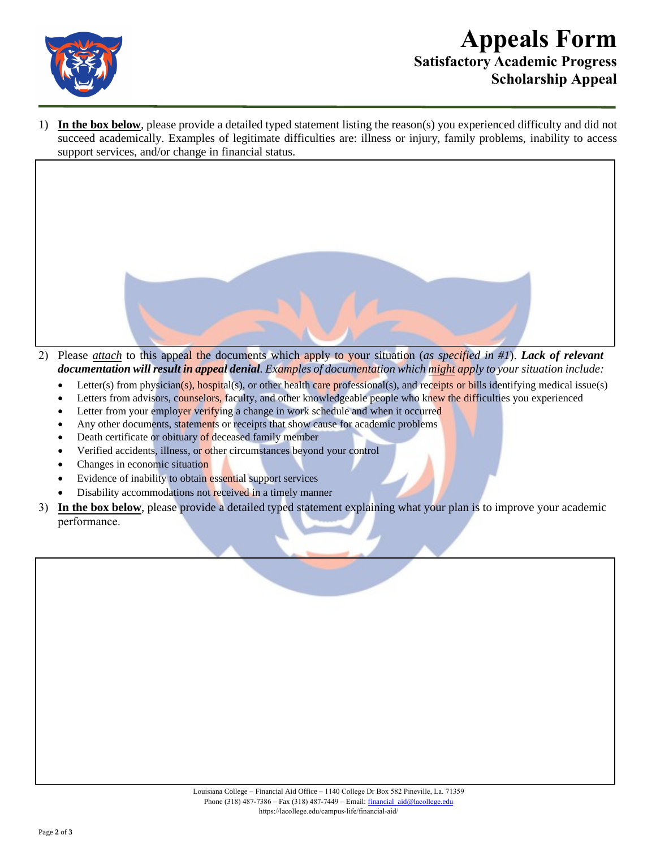

## **Appeals Form Satisfactory Academic Progress Scholarship Appeal**

1) **In the box below**, please provide a detailed typed statement listing the reason(s) you experienced difficulty and did not succeed academically. Examples of legitimate difficulties are: illness or injury, family problems, inability to access support services, and/or change in financial status.



- Letter(s) from physician(s), hospital(s), or other health care professional(s), and receipts or bills identifying medical issue(s)
- Letters from advisors, counselors, faculty, and other knowledgeable people who knew the difficulties you experienced
- Letter from your employer verifying a change in work schedule and when it occurred
- Any other documents, statements or receipts that show cause for academic problems
- Death certificate or obituary of deceased family member
- Verified accidents, illness, or other circumstances beyond your control
- Changes in economic situation
- Evidence of inability to obtain essential support services
- Disability accommodations not received in a timely manner
- 3) **In the box below**, please provide a detailed typed statement explaining what your plan is to improve your academic performance.

| Louisiana College – Financial Aid Office – 1140 College Dr Box 582 Pineville, La. 71359 |  |
|-----------------------------------------------------------------------------------------|--|
| Phone (318) $487-7386$ – Fax (318) $487-7449$ – Email: financial aid@lacollege.edu      |  |
| https://lacollege.edu/campus-life/financial-aid/                                        |  |